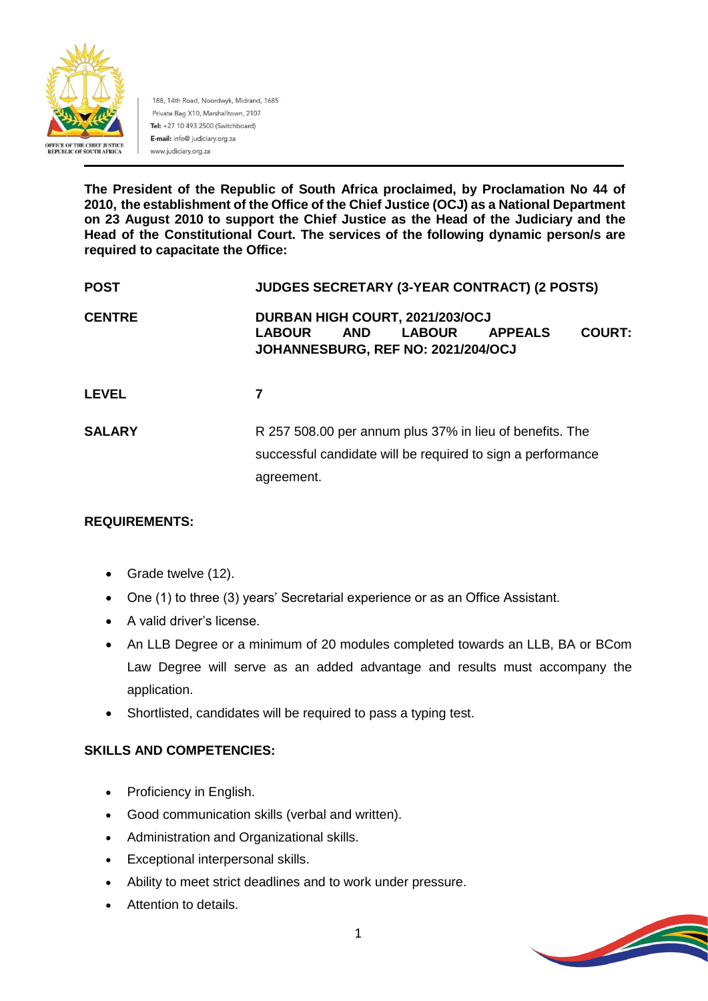

188, 14th Road, Noordwyk, Midrand, 1685 Private Bag X10, Marshalltown, 2107 Tel: +27 10 493 2500 (Switchboard) E-mail: info@ judiciary.org.za www.judiciary.org.za

**The President of the Republic of South Africa proclaimed, by Proclamation No 44 of 2010, the establishment of the Office of the Chief Justice (OCJ) as a National Department on 23 August 2010 to support the Chief Justice as the Head of the Judiciary and the Head of the Constitutional Court. The services of the following dynamic person/s are required to capacitate the Office:**

| <b>POST</b>   | <b>JUDGES SECRETARY (3-YEAR CONTRACT) (2 POSTS)</b>                                                                                                      |
|---------------|----------------------------------------------------------------------------------------------------------------------------------------------------------|
| <b>CENTRE</b> | DURBAN HIGH COURT, 2021/203/OCJ<br><b>AND</b><br><b>LABOUR</b><br><b>COURT:</b><br><b>LABOUR</b><br><b>APPEALS</b><br>JOHANNESBURG, REF NO: 2021/204/OCJ |
| <b>LEVEL</b>  | 7                                                                                                                                                        |
| <b>SALARY</b> | R 257 508.00 per annum plus 37% in lieu of benefits. The<br>successful candidate will be required to sign a performance<br>agreement.                    |

## **REQUIREMENTS:**

- Grade twelve (12).
- One (1) to three (3) years' Secretarial experience or as an Office Assistant.
- A valid driver's license.
- An LLB Degree or a minimum of 20 modules completed towards an LLB, BA or BCom Law Degree will serve as an added advantage and results must accompany the application.
- Shortlisted, candidates will be required to pass a typing test.

#### **SKILLS AND COMPETENCIES:**

- Proficiency in English.
- Good communication skills (verbal and written).
- Administration and Organizational skills.
- Exceptional interpersonal skills.
- Ability to meet strict deadlines and to work under pressure.
- Attention to details.

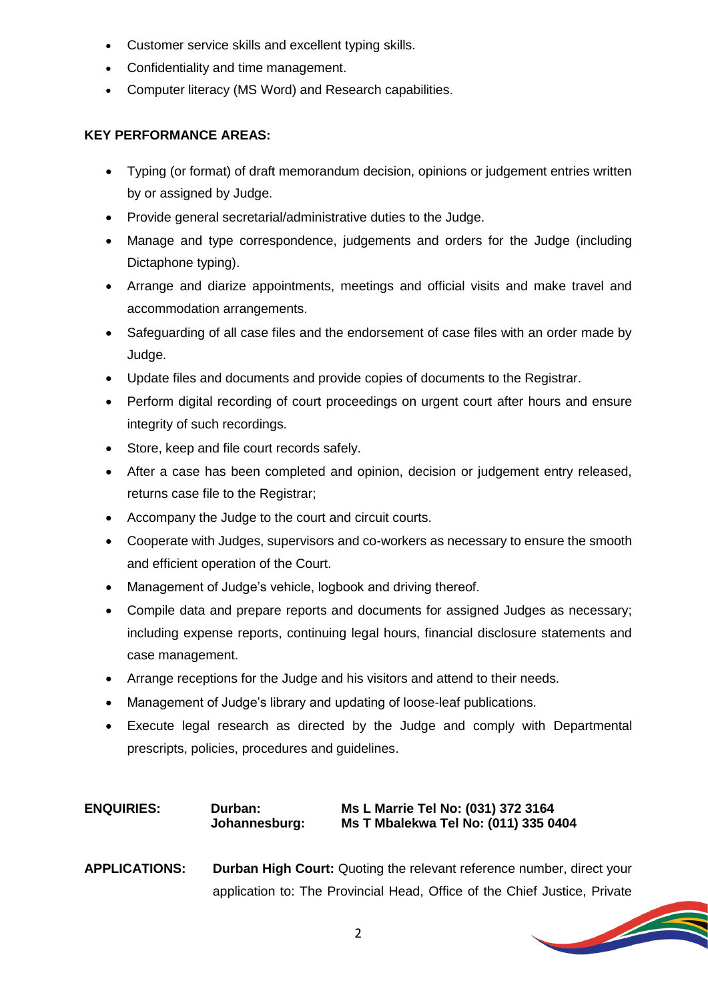- Customer service skills and excellent typing skills.
- Confidentiality and time management.
- Computer literacy (MS Word) and Research capabilities.

#### **KEY PERFORMANCE AREAS:**

- Typing (or format) of draft memorandum decision, opinions or judgement entries written by or assigned by Judge.
- Provide general secretarial/administrative duties to the Judge.
- Manage and type correspondence, judgements and orders for the Judge (including Dictaphone typing).
- Arrange and diarize appointments, meetings and official visits and make travel and accommodation arrangements.
- Safeguarding of all case files and the endorsement of case files with an order made by Judge.
- Update files and documents and provide copies of documents to the Registrar.
- Perform digital recording of court proceedings on urgent court after hours and ensure integrity of such recordings.
- Store, keep and file court records safely.
- After a case has been completed and opinion, decision or judgement entry released, returns case file to the Registrar;
- Accompany the Judge to the court and circuit courts.
- Cooperate with Judges, supervisors and co-workers as necessary to ensure the smooth and efficient operation of the Court.
- Management of Judge's vehicle, logbook and driving thereof.
- Compile data and prepare reports and documents for assigned Judges as necessary; including expense reports, continuing legal hours, financial disclosure statements and case management.
- Arrange receptions for the Judge and his visitors and attend to their needs.
- Management of Judge's library and updating of loose-leaf publications.
- Execute legal research as directed by the Judge and comply with Departmental prescripts, policies, procedures and guidelines.

## **ENQUIRIES: Durban: Ms L Marrie Tel No: (031) 372 3164 Johannesburg: Ms T Mbalekwa Tel No: (011) 335 0404**

**APPLICATIONS: Durban High Court:** Quoting the relevant reference number, direct your application to: The Provincial Head, Office of the Chief Justice, Private

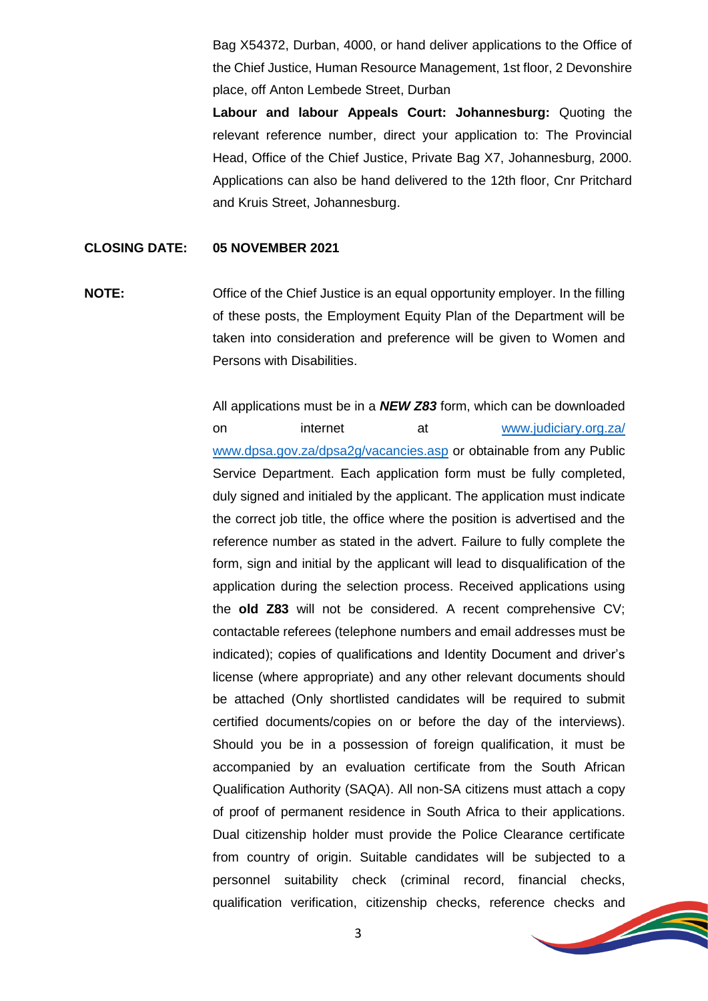Bag X54372, Durban, 4000, or hand deliver applications to the Office of the Chief Justice, Human Resource Management, 1st floor, 2 Devonshire place, off Anton Lembede Street, Durban

**Labour and labour Appeals Court: Johannesburg:** Quoting the relevant reference number, direct your application to: The Provincial Head, Office of the Chief Justice, Private Bag X7, Johannesburg, 2000. Applications can also be hand delivered to the 12th floor, Cnr Pritchard and Kruis Street, Johannesburg.

#### **CLOSING DATE: 05 NOVEMBER 2021**

**NOTE:** Office of the Chief Justice is an equal opportunity employer. In the filling of these posts, the Employment Equity Plan of the Department will be taken into consideration and preference will be given to Women and Persons with Disabilities.

> All applications must be in a *NEW Z83* form, which can be downloaded on internet at [www.judiciary.org.za/](http://www.judiciary.org.za/) [www.dpsa.gov.za/dpsa2g/vacancies.asp](http://www.dpsa.gov.za/dpsa2g/vacancies.asp) or obtainable from any Public Service Department. Each application form must be fully completed, duly signed and initialed by the applicant. The application must indicate the correct job title, the office where the position is advertised and the reference number as stated in the advert. Failure to fully complete the form, sign and initial by the applicant will lead to disqualification of the application during the selection process. Received applications using the **old Z83** will not be considered. A recent comprehensive CV; contactable referees (telephone numbers and email addresses must be indicated); copies of qualifications and Identity Document and driver's license (where appropriate) and any other relevant documents should be attached (Only shortlisted candidates will be required to submit certified documents/copies on or before the day of the interviews). Should you be in a possession of foreign qualification, it must be accompanied by an evaluation certificate from the South African Qualification Authority (SAQA). All non-SA citizens must attach a copy of proof of permanent residence in South Africa to their applications. Dual citizenship holder must provide the Police Clearance certificate from country of origin. Suitable candidates will be subjected to a personnel suitability check (criminal record, financial checks, qualification verification, citizenship checks, reference checks and

3